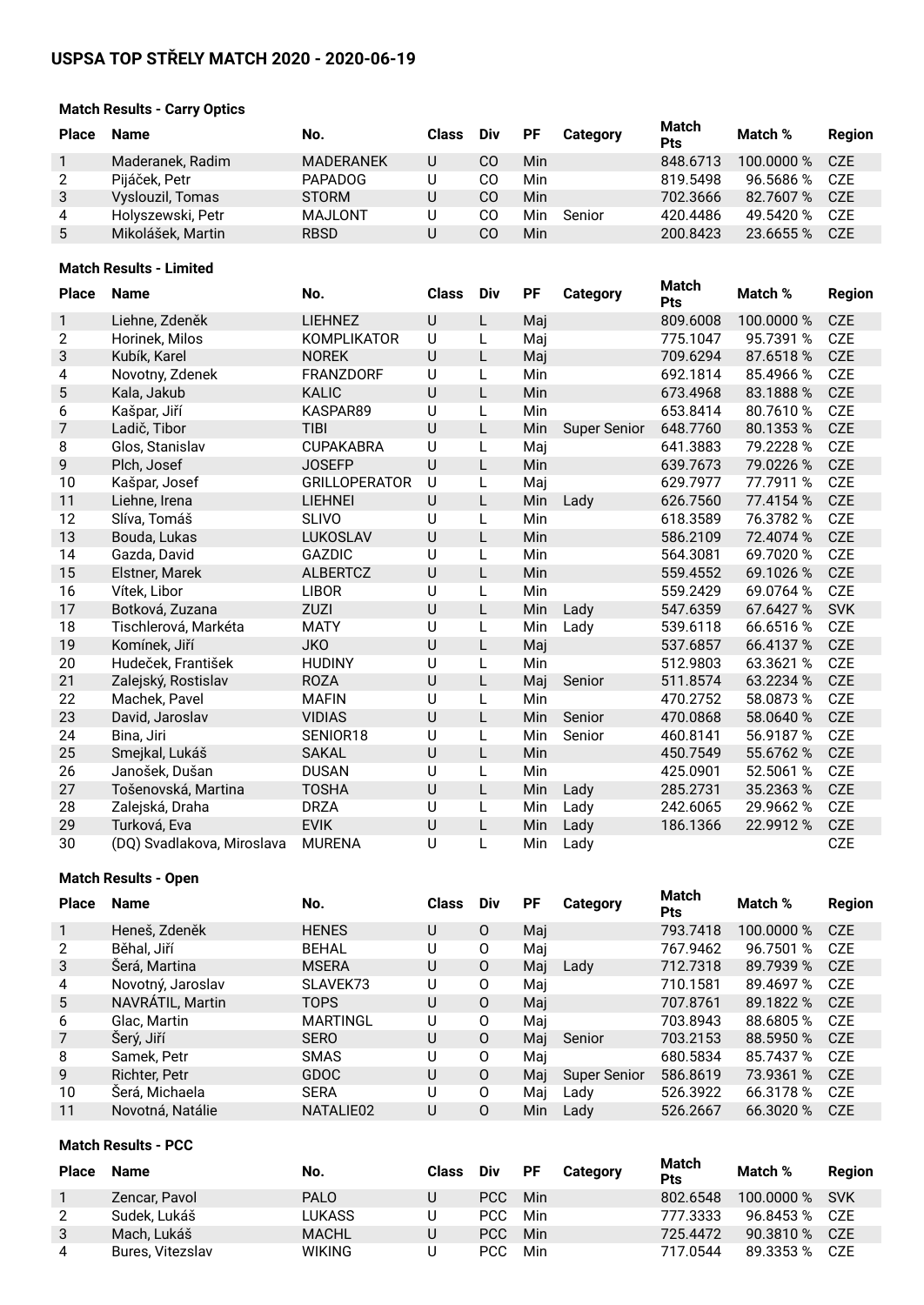# **USPSA TOP STŘELY MATCH 2020 - 2020-06-19**

# **Match Results - Carry Optics**

| <b>Place</b>   | <b>Name</b>       | No.              | <b>Class</b> | <b>Div</b> | PF  | Category | Match<br>Pts | Match %    | Region           |
|----------------|-------------------|------------------|--------------|------------|-----|----------|--------------|------------|------------------|
|                | Maderanek, Radim  | <b>MADERANEK</b> | U            | СO         | Min |          | 848.6713     | 100.0000 % | C <sub>7</sub> F |
| 2              | Pijáček, Petr     | <b>PAPADOG</b>   | U            | CО         | Min |          | 819.5498     | 96.5686 %  | CZE              |
| 3              | Vyslouzil, Tomas  | <b>STORM</b>     | U            | CO         | Min |          | 702.3666     | 82.7607 %  | C <sub>7</sub> F |
| $\overline{4}$ | Holyszewski, Petr | MAJLONT          | U            | CО         | Min | Senior   | 420.4486     | 49.5420 %  | CZE              |
| 5              | Mikolášek, Martin | <b>RBSD</b>      | U            | CO         | Min |          | 200.8423     | 23.6655 %  | CZE              |
|                |                   |                  |              |            |     |          |              |            |                  |

### **Match Results - Limited**

| <b>Place</b>   | <b>Name</b>                | No.                  | <b>Class</b> | Div | <b>PF</b>  | <b>Category</b>     | <b>Match</b><br>Pts | Match %    | <b>Region</b> |
|----------------|----------------------------|----------------------|--------------|-----|------------|---------------------|---------------------|------------|---------------|
| 1              | Liehne, Zdeněk             | <b>LIEHNEZ</b>       | U            | L   | Mai        |                     | 809.6008            | 100.0000 % | <b>CZE</b>    |
| $\overline{c}$ | Horinek, Milos             | <b>KOMPLIKATOR</b>   | U            |     | Maj        |                     | 775.1047            | 95.7391 %  | <b>CZE</b>    |
| 3              | Kubík, Karel               | <b>NOREK</b>         | U            | L   | Maj        |                     | 709.6294            | 87.6518 %  | <b>CZE</b>    |
| 4              | Novotny, Zdenek            | <b>FRANZDORF</b>     | U            | L   | Min        |                     | 692.1814            | 85.4966 %  | <b>CZE</b>    |
| 5              | Kala, Jakub                | <b>KALIC</b>         | U            | L   | Min        |                     | 673.4968            | 83.1888 %  | <b>CZE</b>    |
| 6              | Kašpar, Jiří               | KASPAR89             | U            | L   | Min        |                     | 653.8414            | 80.7610%   | <b>CZE</b>    |
| 7              | Ladič, Tibor               | TIBI                 | U            | L   | Min        | <b>Super Senior</b> | 648.7760            | 80.1353%   | <b>CZE</b>    |
| 8              | Glos, Stanislav            | <b>CUPAKABRA</b>     | U            |     | Maj        |                     | 641.3883            | 79.2228 %  | <b>CZE</b>    |
| 9              | Plch, Josef                | <b>JOSEFP</b>        | U            | L   | Min        |                     | 639.7673            | 79.0226 %  | <b>CZE</b>    |
| 10             | Kašpar, Josef              | <b>GRILLOPERATOR</b> | U            | L   | Maj        |                     | 629.7977            | 77.7911 %  | <b>CZE</b>    |
| 11             | Liehne, Irena              | <b>LIEHNEI</b>       | U            | L   | Min        | Lady                | 626.7560            | 77.4154 %  | <b>CZE</b>    |
| 12             | Slíva, Tomáš               | <b>SLIVO</b>         | U            |     | Min        |                     | 618.3589            | 76.3782 %  | <b>CZE</b>    |
| 13             | Bouda, Lukas               | LUKOSLAV             | U            | L   | Min        |                     | 586.2109            | 72.4074 %  | <b>CZE</b>    |
| 14             | Gazda, David               | <b>GAZDIC</b>        | U            |     | Min        |                     | 564.3081            | 69.7020 %  | <b>CZE</b>    |
| 15             | Elstner, Marek             | <b>ALBERTCZ</b>      | U            | L   | Min        |                     | 559.4552            | 69.1026 %  | <b>CZE</b>    |
| 16             | Vítek, Libor               | <b>LIBOR</b>         | U            | L   | Min        |                     | 559.2429            | 69.0764 %  | <b>CZE</b>    |
| 17             | Botková, Zuzana            | <b>ZUZI</b>          | U            | L   | Min        | Lady                | 547.6359            | 67.6427 %  | <b>SVK</b>    |
| 18             | Tischlerová, Markéta       | <b>MATY</b>          | U            | L   | Min        | Lady                | 539.6118            | 66.6516 %  | <b>CZE</b>    |
| 19             | Komínek, Jiří              | <b>JKO</b>           | U            | L   | Maj        |                     | 537.6857            | 66.4137 %  | <b>CZE</b>    |
| 20             | Hudeček, František         | <b>HUDINY</b>        | U            |     | Min        |                     | 512.9803            | 63.3621 %  | <b>CZE</b>    |
| 21             | Zalejský, Rostislav        | <b>ROZA</b>          | U            | L   | Maj        | Senior              | 511.8574            | 63.2234 %  | <b>CZE</b>    |
| 22             | Machek, Pavel              | <b>MAFIN</b>         | U            | L   | <b>Min</b> |                     | 470.2752            | 58.0873%   | <b>CZE</b>    |
| 23             | David, Jaroslav            | <b>VIDIAS</b>        | U            | L   | Min        | Senior              | 470.0868            | 58.0640 %  | <b>CZE</b>    |
| 24             | Bina, Jiri                 | SENIOR18             | U            | L   | Min        | Senior              | 460.8141            | 56.9187%   | <b>CZE</b>    |
| 25             | Smejkal, Lukáš             | <b>SAKAL</b>         | U            | L   | Min        |                     | 450.7549            | 55.6762 %  | <b>CZE</b>    |
| 26             | Janošek, Dušan             | <b>DUSAN</b>         | U            |     | Min        |                     | 425.0901            | 52.5061 %  | <b>CZE</b>    |
| 27             | Tošenovská, Martina        | <b>TOSHA</b>         | U            | L   | Min        | Lady                | 285.2731            | 35.2363%   | <b>CZE</b>    |
| 28             | Zalejská, Draha            | <b>DRZA</b>          | U            | L   | Min        | Lady                | 242.6065            | 29.9662%   | <b>CZE</b>    |
| 29             | Turková, Eva               | <b>EVIK</b>          | U            |     | Min        | Lady                | 186.1366            | 22.9912%   | CZE           |
| 30             | (DQ) Svadlakova, Miroslava | <b>MURENA</b>        | U            |     | Min        | Ladv                |                     |            | <b>CZE</b>    |

### **Match Results - Open**

| <b>Place</b>   | <b>Name</b>       | No.             | Class | Div      | <b>PF</b> | Category     | <b>Match</b><br><b>Pts</b> | Match %    | <b>Region</b> |
|----------------|-------------------|-----------------|-------|----------|-----------|--------------|----------------------------|------------|---------------|
|                | Heneš, Zdeněk     | <b>HENES</b>    | U     | 0        | Mai       |              | 793.7418                   | 100.0000 % | <b>CZE</b>    |
| 2              | Běhal, Jiří       | <b>BEHAL</b>    | U     | 0        | Maj       |              | 767.9462                   | 96.7501 %  | <b>CZE</b>    |
| 3              | Šerá, Martina     | <b>MSERA</b>    | U     | $\Omega$ | Mai       | Lady         | 712.7318                   | 89.7939 %  | <b>CZE</b>    |
| 4              | Novotný, Jaroslav | SLAVEK73        | U     | 0        | Maj       |              | 710.1581                   | 89.4697 %  | <b>CZE</b>    |
| 5              | NAVRÁTIL, Martin  | <b>TOPS</b>     | U     | $\Omega$ | Mai       |              | 707.8761                   | 89.1822 %  | <b>CZE</b>    |
| 6              | Glac, Martin      | <b>MARTINGL</b> | U     | O        | Mai       |              | 703.8943                   | 88.6805%   | CZE           |
| $\overline{7}$ | Šerý, Jiří        | <b>SERO</b>     | U     | 0        | Mai       | Senior       | 703.2153                   | 88.5950 %  | <b>CZE</b>    |
| 8              | Samek, Petr       | <b>SMAS</b>     | U     | 0        | Mai       |              | 680.5834                   | 85.7437 %  | <b>CZE</b>    |
| 9              | Richter, Petr     | <b>GDOC</b>     | U     | $\Omega$ | Mai       | Super Senior | 586.8619                   | 73.9361 %  | <b>CZE</b>    |
| 10             | Šerá, Michaela    | <b>SERA</b>     | U     | 0        | Maj       | Lady         | 526.3922                   | 66.3178 %  | <b>CZE</b>    |
| 11             | Novotná, Natálie  | NATALIE02       | U     | 0        | Min       | Lady         | 526.2667                   | 66.3020 %  | CZE           |

#### **Match Results - PCC**

| <b>Place</b>   | <b>Name</b>      | No.           | <b>Class</b> | Div  | <b>PF</b> | <b>Category</b> | Match<br><b>Pts</b> | Match %        | Region |
|----------------|------------------|---------------|--------------|------|-----------|-----------------|---------------------|----------------|--------|
|                | Zencar, Pavol    | <b>PALO</b>   | U            | PCC. | Min       |                 | 802.6548            | 100,0000 % SVK |        |
| 2              | Sudek, Lukáš     | LUKASS        | U            | PCC. | Min       |                 | 777.3333            | 96.8453 %      | CZE    |
| 3              | Mach, Lukáš      | <b>MACHL</b>  | U            | PCC. | Min       |                 | 725.4472            | 90.3810 %      | CZE    |
| $\overline{4}$ | Bures, Vitezslav | <b>WIKING</b> |              | PCC. | Min       |                 | 717.0544            | 89.3353 %      | CZE    |